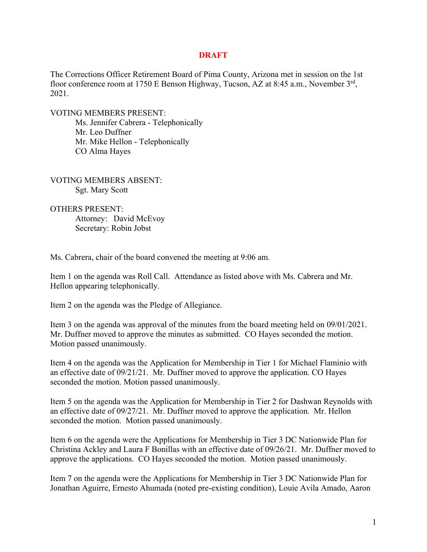## **DRAFT**

The Corrections Officer Retirement Board of Pima County, Arizona met in session on the 1st floor conference room at 1750 E Benson Highway, Tucson, AZ at 8:45 a.m., November 3<sup>rd</sup>, 2021.

VOTING MEMBERS PRESENT:

Ms. Jennifer Cabrera - Telephonically Mr. Leo Duffner Mr. Mike Hellon - Telephonically CO Alma Hayes

VOTING MEMBERS ABSENT: Sgt. Mary Scott

OTHERS PRESENT: Attorney: David McEvoy

Secretary: Robin Jobst

Ms. Cabrera, chair of the board convened the meeting at 9:06 am.

Item 1 on the agenda was Roll Call. Attendance as listed above with Ms. Cabrera and Mr. Hellon appearing telephonically.

Item 2 on the agenda was the Pledge of Allegiance.

Item 3 on the agenda was approval of the minutes from the board meeting held on 09/01/2021. Mr. Duffner moved to approve the minutes as submitted. CO Hayes seconded the motion. Motion passed unanimously.

Item 4 on the agenda was the Application for Membership in Tier 1 for Michael Flaminio with an effective date of 09/21/21. Mr. Duffner moved to approve the application. CO Hayes seconded the motion. Motion passed unanimously.

Item 5 on the agenda was the Application for Membership in Tier 2 for Dashwan Reynolds with an effective date of 09/27/21. Mr. Duffner moved to approve the application. Mr. Hellon seconded the motion. Motion passed unanimously.

Item 6 on the agenda were the Applications for Membership in Tier 3 DC Nationwide Plan for Christina Ackley and Laura F Bonillas with an effective date of 09/26/21. Mr. Duffner moved to approve the applications. CO Hayes seconded the motion. Motion passed unanimously.

Item 7 on the agenda were the Applications for Membership in Tier 3 DC Nationwide Plan for Jonathan Aguirre, Ernesto Ahumada (noted pre-existing condition), Louie Avila Amado, Aaron